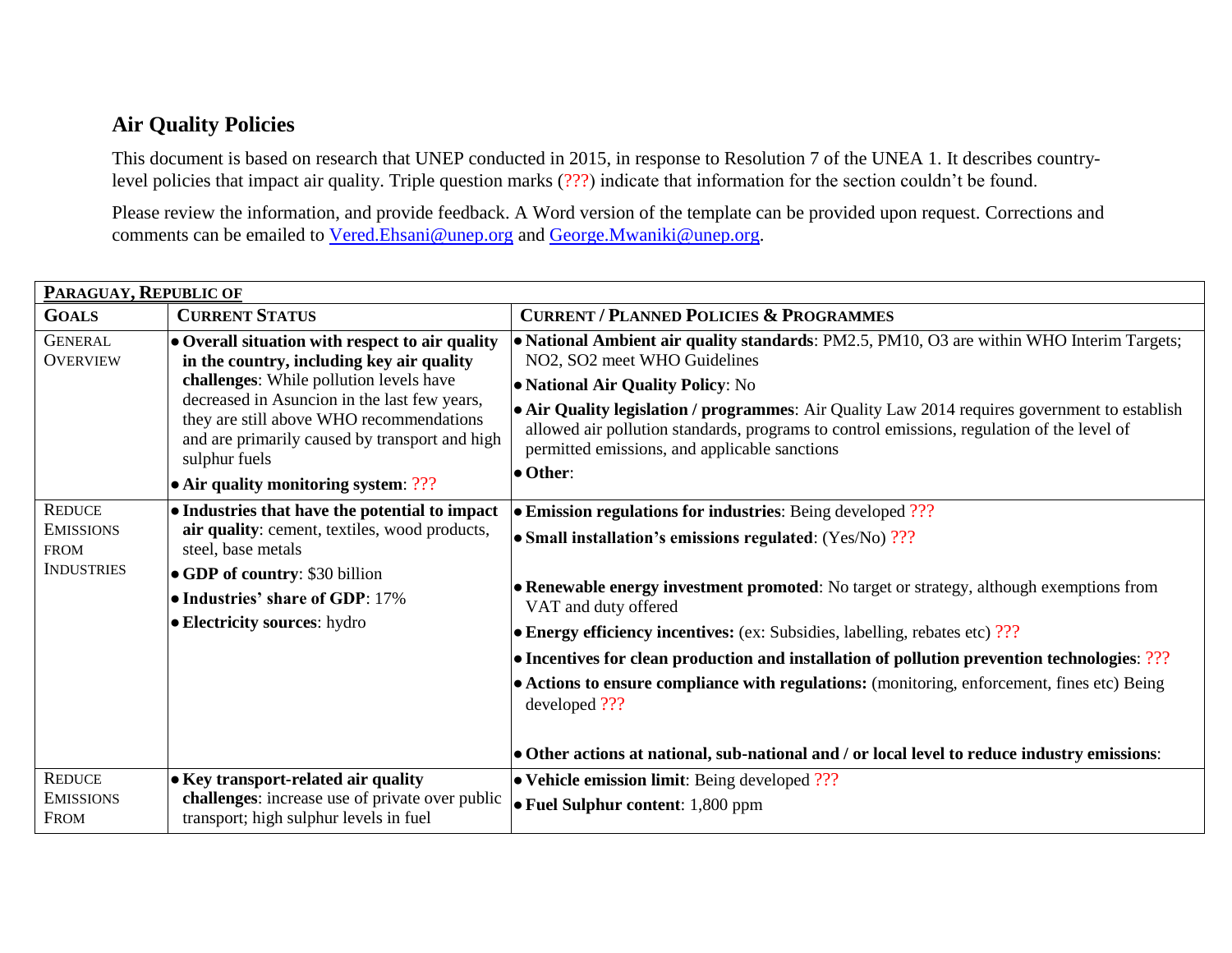## **Air Quality Policies**

This document is based on research that UNEP conducted in 2015, in response to Resolution 7 of the UNEA 1. It describes countrylevel policies that impact air quality. Triple question marks (???) indicate that information for the section couldn't be found.

Please review the information, and provide feedback. A Word version of the template can be provided upon request. Corrections and comments can be emailed to [Vered.Ehsani@unep.org](mailto:Vered.Ehsani@unep.org) and [George.Mwaniki@unep.org.](mailto:George.Mwaniki@unep.org)

| PARAGUAY, REPUBLIC OF                                                 |                                                                                                                                                                                                                                                                                                                                                   |                                                                                                                                                                                                                                                                                                                                                                                                                                                                                                                                                                                                                                          |  |
|-----------------------------------------------------------------------|---------------------------------------------------------------------------------------------------------------------------------------------------------------------------------------------------------------------------------------------------------------------------------------------------------------------------------------------------|------------------------------------------------------------------------------------------------------------------------------------------------------------------------------------------------------------------------------------------------------------------------------------------------------------------------------------------------------------------------------------------------------------------------------------------------------------------------------------------------------------------------------------------------------------------------------------------------------------------------------------------|--|
| <b>GOALS</b>                                                          | <b>CURRENT STATUS</b>                                                                                                                                                                                                                                                                                                                             | <b>CURRENT / PLANNED POLICIES &amp; PROGRAMMES</b>                                                                                                                                                                                                                                                                                                                                                                                                                                                                                                                                                                                       |  |
| <b>GENERAL</b><br><b>OVERVIEW</b>                                     | • Overall situation with respect to air quality<br>in the country, including key air quality<br>challenges: While pollution levels have<br>decreased in Asuncion in the last few years,<br>they are still above WHO recommendations<br>and are primarily caused by transport and high<br>sulphur fuels<br>• Air quality monitoring system: $?$ ?? | • National Ambient air quality standards: PM2.5, PM10, O3 are within WHO Interim Targets;<br>NO2, SO2 meet WHO Guidelines<br>• National Air Quality Policy: No<br>• Air Quality legislation / programmes: Air Quality Law 2014 requires government to establish<br>allowed air pollution standards, programs to control emissions, regulation of the level of<br>permitted emissions, and applicable sanctions<br>• Other:                                                                                                                                                                                                               |  |
| <b>REDUCE</b><br><b>EMISSIONS</b><br><b>FROM</b><br><b>INDUSTRIES</b> | • Industries that have the potential to impact<br>air quality: cement, textiles, wood products,<br>steel, base metals<br>• GDP of country: \$30 billion<br>• Industries' share of GDP: 17%<br>• Electricity sources: hydro                                                                                                                        | • Emission regulations for industries: Being developed ???<br>• Small installation's emissions regulated: (Yes/No) ???<br>• Renewable energy investment promoted: No target or strategy, although exemptions from<br>VAT and duty offered<br>• Energy efficiency incentives: (ex: Subsidies, labelling, rebates etc) ???<br>• Incentives for clean production and installation of pollution prevention technologies: ???<br>• Actions to ensure compliance with regulations: (monitoring, enforcement, fines etc) Being<br>developed ???<br>• Other actions at national, sub-national and / or local level to reduce industry emissions: |  |
| <b>REDUCE</b><br><b>EMISSIONS</b><br><b>FROM</b>                      | • Key transport-related air quality<br>challenges: increase use of private over public<br>transport; high sulphur levels in fuel                                                                                                                                                                                                                  | $\bullet$ Vehicle emission limit: Being developed ???<br>• Fuel Sulphur content: 1,800 ppm                                                                                                                                                                                                                                                                                                                                                                                                                                                                                                                                               |  |